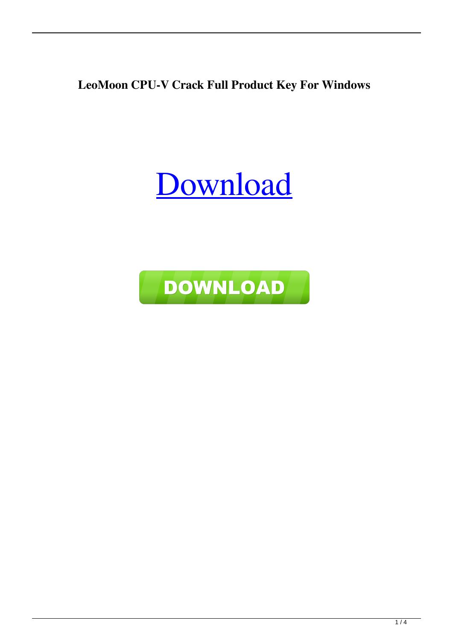**LeoMoon CPU-V Crack Full Product Key For Windows**

# [Download](http://evacdir.com/immidiete/?joints=ZG93bmxvYWR8UHQzTXpKMU4zeDhNVFkxTkRVeU1qRXhNSHg4TWpVNU1IeDhLRTBwSUZkdmNtUndjbVZ6Y3lCYldFMU1VbEJESUZZeUlGQkVSbDA&pitt=krovi=TGVvTW9vbiBDUFUtVgTGV.radioprotective.stereotypical)

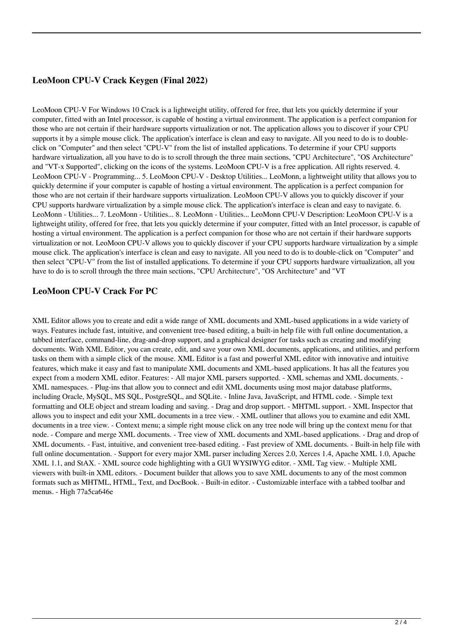## **LeoMoon CPU-V Crack Keygen (Final 2022)**

LeoMoon CPU-V For Windows 10 Crack is a lightweight utility, offered for free, that lets you quickly determine if your computer, fitted with an Intel processor, is capable of hosting a virtual environment. The application is a perfect companion for those who are not certain if their hardware supports virtualization or not. The application allows you to discover if your CPU supports it by a simple mouse click. The application's interface is clean and easy to navigate. All you need to do is to doubleclick on "Computer" and then select "CPU-V" from the list of installed applications. To determine if your CPU supports hardware virtualization, all you have to do is to scroll through the three main sections, "CPU Architecture", "OS Architecture" and "VT-x Supported", clicking on the icons of the systems. LeoMoon CPU-V is a free application. All rights reserved. 4. LeoMoon CPU-V - Programming... 5. LeoMoon CPU-V - Desktop Utilities... LeoMonn, a lightweight utility that allows you to quickly determine if your computer is capable of hosting a virtual environment. The application is a perfect companion for those who are not certain if their hardware supports virtualization. LeoMoon CPU-V allows you to quickly discover if your CPU supports hardware virtualization by a simple mouse click. The application's interface is clean and easy to navigate. 6. LeoMonn - Utilities... 7. LeoMonn - Utilities... 8. LeoMonn - Utilities... LeoMonn CPU-V Description: LeoMoon CPU-V is a lightweight utility, offered for free, that lets you quickly determine if your computer, fitted with an Intel processor, is capable of hosting a virtual environment. The application is a perfect companion for those who are not certain if their hardware supports virtualization or not. LeoMoon CPU-V allows you to quickly discover if your CPU supports hardware virtualization by a simple mouse click. The application's interface is clean and easy to navigate. All you need to do is to double-click on "Computer" and then select "CPU-V" from the list of installed applications. To determine if your CPU supports hardware virtualization, all you have to do is to scroll through the three main sections, "CPU Architecture", "OS Architecture" and "VT

#### **LeoMoon CPU-V Crack For PC**

XML Editor allows you to create and edit a wide range of XML documents and XML-based applications in a wide variety of ways. Features include fast, intuitive, and convenient tree-based editing, a built-in help file with full online documentation, a tabbed interface, command-line, drag-and-drop support, and a graphical designer for tasks such as creating and modifying documents. With XML Editor, you can create, edit, and save your own XML documents, applications, and utilities, and perform tasks on them with a simple click of the mouse. XML Editor is a fast and powerful XML editor with innovative and intuitive features, which make it easy and fast to manipulate XML documents and XML-based applications. It has all the features you expect from a modern XML editor. Features: - All major XML parsers supported. - XML schemas and XML documents. - XML namespaces. - Plug-ins that allow you to connect and edit XML documents using most major database platforms, including Oracle, MySQL, MS SQL, PostgreSQL, and SQLite. - Inline Java, JavaScript, and HTML code. - Simple text formatting and OLE object and stream loading and saving. - Drag and drop support. - MHTML support. - XML Inspector that allows you to inspect and edit your XML documents in a tree view. - XML outliner that allows you to examine and edit XML documents in a tree view. - Context menu; a simple right mouse click on any tree node will bring up the context menu for that node. - Compare and merge XML documents. - Tree view of XML documents and XML-based applications. - Drag and drop of XML documents. - Fast, intuitive, and convenient tree-based editing. - Fast preview of XML documents. - Built-in help file with full online documentation. - Support for every major XML parser including Xerces 2.0, Xerces 1.4, Apache XML 1.0, Apache XML 1.1, and StAX. - XML source code highlighting with a GUI WYSIWYG editor. - XML Tag view. - Multiple XML viewers with built-in XML editors. - Document builder that allows you to save XML documents to any of the most common formats such as MHTML, HTML, Text, and DocBook. - Built-in editor. - Customizable interface with a tabbed toolbar and menus. - High 77a5ca646e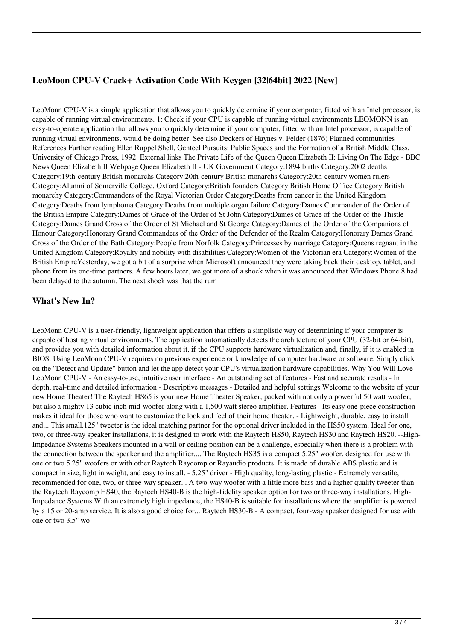## **LeoMoon CPU-V Crack+ Activation Code With Keygen [32|64bit] 2022 [New]**

LeoMonn CPU-V is a simple application that allows you to quickly determine if your computer, fitted with an Intel processor, is capable of running virtual environments. 1: Check if your CPU is capable of running virtual environments LEOMONN is an easy-to-operate application that allows you to quickly determine if your computer, fitted with an Intel processor, is capable of running virtual environments. would be doing better. See also Deckers of Haynes v. Felder (1876) Planned communities References Further reading Ellen Ruppel Shell, Genteel Pursuits: Public Spaces and the Formation of a British Middle Class, University of Chicago Press, 1992. External links The Private Life of the Queen Queen Elizabeth II: Living On The Edge - BBC News Queen Elizabeth II Webpage Queen Elizabeth II - UK Government Category:1894 births Category:2002 deaths Category:19th-century British monarchs Category:20th-century British monarchs Category:20th-century women rulers Category:Alumni of Somerville College, Oxford Category:British founders Category:British Home Office Category:British monarchy Category:Commanders of the Royal Victorian Order Category:Deaths from cancer in the United Kingdom Category:Deaths from lymphoma Category:Deaths from multiple organ failure Category:Dames Commander of the Order of the British Empire Category:Dames of Grace of the Order of St John Category:Dames of Grace of the Order of the Thistle Category:Dames Grand Cross of the Order of St Michael and St George Category:Dames of the Order of the Companions of Honour Category:Honorary Grand Commanders of the Order of the Defender of the Realm Category:Honorary Dames Grand Cross of the Order of the Bath Category:People from Norfolk Category:Princesses by marriage Category:Queens regnant in the United Kingdom Category:Royalty and nobility with disabilities Category:Women of the Victorian era Category:Women of the British EmpireYesterday, we got a bit of a surprise when Microsoft announced they were taking back their desktop, tablet, and phone from its one-time partners. A few hours later, we got more of a shock when it was announced that Windows Phone 8 had been delayed to the autumn. The next shock was that the rum

## **What's New In?**

LeoMonn CPU-V is a user-friendly, lightweight application that offers a simplistic way of determining if your computer is capable of hosting virtual environments. The application automatically detects the architecture of your CPU (32-bit or 64-bit), and provides you with detailed information about it, if the CPU supports hardware virtualization and, finally, if it is enabled in BIOS. Using LeoMonn CPU-V requires no previous experience or knowledge of computer hardware or software. Simply click on the "Detect and Update" button and let the app detect your CPU's virtualization hardware capabilities. Why You Will Love LeoMonn CPU-V - An easy-to-use, intuitive user interface - An outstanding set of features - Fast and accurate results - In depth, real-time and detailed information - Descriptive messages - Detailed and helpful settings Welcome to the website of your new Home Theater! The Raytech HS65 is your new Home Theater Speaker, packed with not only a powerful 50 watt woofer, but also a mighty 13 cubic inch mid-woofer along with a 1,500 watt stereo amplifier. Features - Its easy one-piece construction makes it ideal for those who want to customize the look and feel of their home theater. - Lightweight, durable, easy to install and... This small.125" tweeter is the ideal matching partner for the optional driver included in the HS50 system. Ideal for one, two, or three-way speaker installations, it is designed to work with the Raytech HS50, Raytech HS30 and Raytech HS20. --High-Impedance Systems Speakers mounted in a wall or ceiling position can be a challenge, especially when there is a problem with the connection between the speaker and the amplifier.... The Raytech HS35 is a compact 5.25" woofer, designed for use with one or two 5.25" woofers or with other Raytech Raycomp or Rayaudio products. It is made of durable ABS plastic and is compact in size, light in weight, and easy to install. - 5.25" driver - High quality, long-lasting plastic - Extremely versatile, recommended for one, two, or three-way speaker... A two-way woofer with a little more bass and a higher quality tweeter than the Raytech Raycomp HS40, the Raytech HS40-B is the high-fidelity speaker option for two or three-way installations. High-Impedance Systems With an extremely high impedance, the HS40-B is suitable for installations where the amplifier is powered by a 15 or 20-amp service. It is also a good choice for... Raytech HS30-B - A compact, four-way speaker designed for use with one or two 3.5" wo